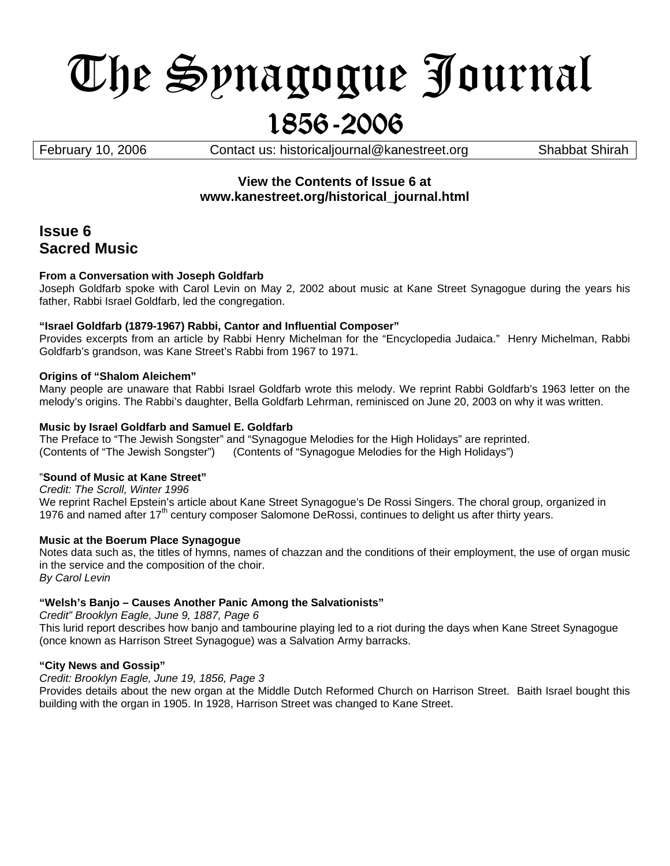# The Synagogue Journal 1856-2006

February 10, 2006 *Contact us: [historicaljournal@kanestreet.org](mailto:historicaljournal@kanestreet.org)* Shabbat Shirah

# **View the Contents of Issue 6 at www.kanestreet.org/historical\_journal.html**

# **Issue 6 Sacred Music**

# **From a Conversation with Joseph Goldfarb**

Joseph Goldfarb spoke with Carol Levin on May 2, 2002 about music at Kane Street Synagogue during the years his father, Rabbi Israel Goldfarb, led the congregation.

### **"Israel Goldfarb (1879-1967) Rabbi, Cantor and Influential Composer"**

Provides excerpts from an article by Rabbi Henry Michelman for the "Encyclopedia Judaica." Henry Michelman, Rabbi Goldfarb's grandson, was Kane Street's Rabbi from 1967 to 1971.

### **Origins of "Shalom Aleichem"**

Many people are unaware that Rabbi Israel Goldfarb wrote this melody. We reprint Rabbi Goldfarb's 1963 letter on the melody's origins. The Rabbi's daughter, Bella Goldfarb Lehrman, reminisced on June 20, 2003 on why it was written.

# **Music by Israel Goldfarb and Samuel E. Goldfarb**

The Preface to "The Jewish Songster" and "Synagogue Melodies for the High Holidays" are reprinted. (Contents of "The Jewish Songster") (Contents of "Synagogue Melodies for the High Holidays")

### "**Sound of Music at Kane Street"**

*Credit: The Scroll, Winter 1996*  We reprint Rachel Epstein's article about Kane Street Synagogue's De Rossi Singers. The choral group, organized in 1976 and named after 17<sup>th</sup> century composer Salomone DeRossi, continues to delight us after thirty years.

### **Music at the Boerum Place Synagogue**

Notes data such as, the titles of hymns, names of chazzan and the conditions of their employment, the use of organ music in the service and the composition of the choir. *By Carol Levin*

# **"Welsh's Banjo – Causes Another Panic Among the Salvationists"**

*Credit" Brooklyn Eagle, June 9, 1887, Page 6* 

This lurid report describes how banjo and tambourine playing led to a riot during the days when Kane Street Synagogue (once known as Harrison Street Synagogue) was a Salvation Army barracks.

### **"City News and Gossip"**

*Credit: Brooklyn Eagle, June 19, 1856, Page 3* 

Provides details about the new organ at the Middle Dutch Reformed Church on Harrison Street. Baith Israel bought this building with the organ in 1905. In 1928, Harrison Street was changed to Kane Street.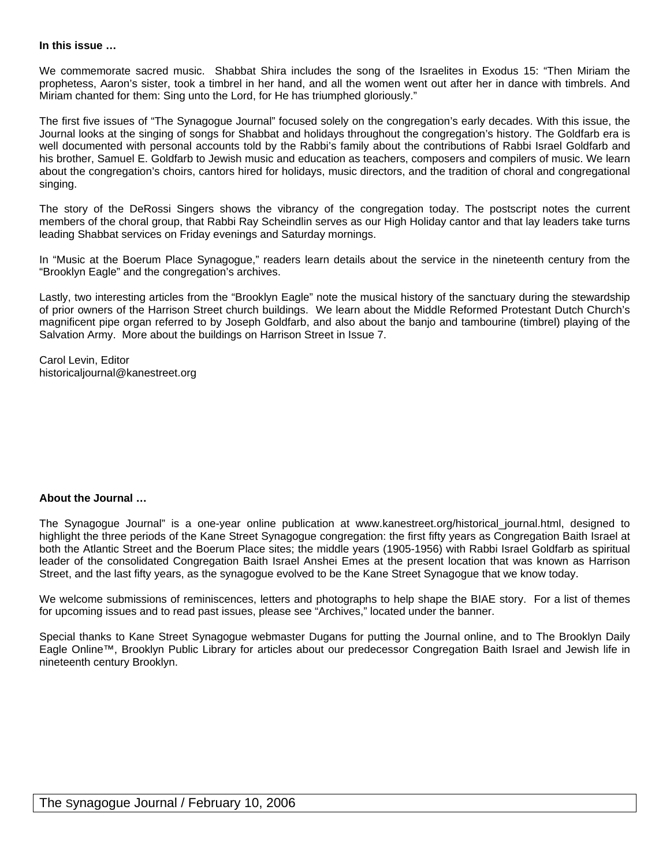#### **In this issue …**

We commemorate sacred music. Shabbat Shira includes the song of the Israelites in Exodus 15: "Then Miriam the prophetess, Aaron's sister, took a timbrel in her hand, and all the women went out after her in dance with timbrels. And Miriam chanted for them: Sing unto the Lord, for He has triumphed gloriously."

The first five issues of "The Synagogue Journal" focused solely on the congregation's early decades. With this issue, the Journal looks at the singing of songs for Shabbat and holidays throughout the congregation's history. The Goldfarb era is well documented with personal accounts told by the Rabbi's family about the contributions of Rabbi Israel Goldfarb and his brother, Samuel E. Goldfarb to Jewish music and education as teachers, composers and compilers of music. We learn about the congregation's choirs, cantors hired for holidays, music directors, and the tradition of choral and congregational singing.

The story of the DeRossi Singers shows the vibrancy of the congregation today. The postscript notes the current members of the choral group, that Rabbi Ray Scheindlin serves as our High Holiday cantor and that lay leaders take turns leading Shabbat services on Friday evenings and Saturday mornings.

In "Music at the Boerum Place Synagogue," readers learn details about the service in the nineteenth century from the "Brooklyn Eagle" and the congregation's archives.

Lastly, two interesting articles from the "Brooklyn Eagle" note the musical history of the sanctuary during the stewardship of prior owners of the Harrison Street church buildings. We learn about the Middle Reformed Protestant Dutch Church's magnificent pipe organ referred to by Joseph Goldfarb, and also about the banjo and tambourine (timbrel) playing of the Salvation Army. More about the buildings on Harrison Street in Issue 7.

Carol Levin, Editor [historicaljournal@kanestreet.org](mailto:historicaljournal@kanestreet.org) 

#### **About the Journal …**

The Synagogue Journal" is a one-year online publication at [www.kanestreet.org/](http://www.kanestreet.org/)historical\_journal.html, designed to highlight the three periods of the Kane Street Synagogue congregation: the first fifty years as Congregation Baith Israel at both the Atlantic Street and the Boerum Place sites; the middle years (1905-1956) with Rabbi Israel Goldfarb as spiritual leader of the consolidated Congregation Baith Israel Anshei Emes at the present location that was known as Harrison Street, and the last fifty years, as the synagogue evolved to be the Kane Street Synagogue that we know today.

We welcome submissions of reminiscences, letters and photographs to help shape the BIAE story. For a list of themes for upcoming issues and to read past issues, please see "Archives," located under the banner.

Special thanks to Kane Street Synagogue webmaster Dugans for putting the Journal online, and to The Brooklyn Daily Eagle Online™, Brooklyn Public Library for articles about our predecessor Congregation Baith Israel and Jewish life in nineteenth century Brooklyn.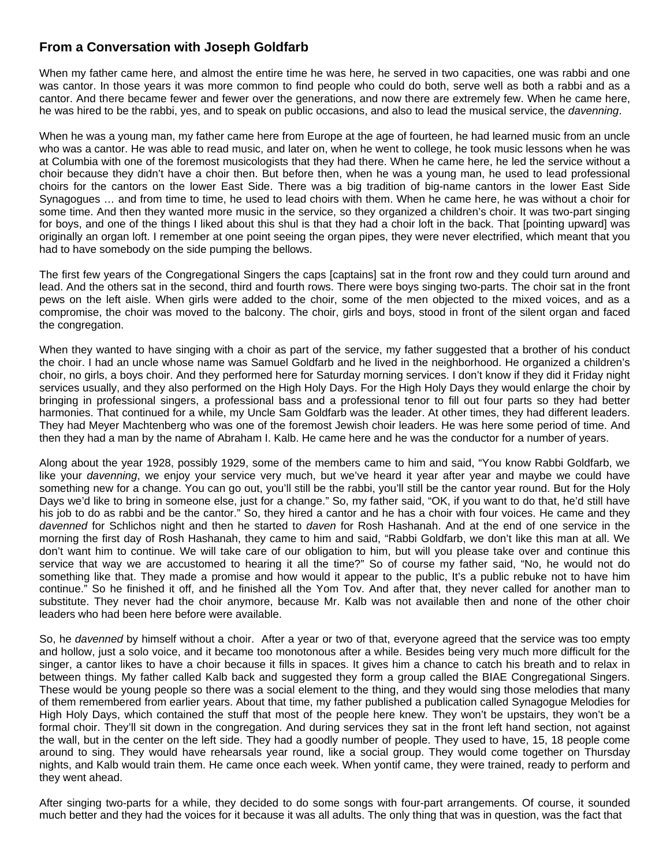# **From a Conversation with Joseph Goldfarb**

When my father came here, and almost the entire time he was here, he served in two capacities, one was rabbi and one was cantor. In those years it was more common to find people who could do both, serve well as both a rabbi and as a cantor. And there became fewer and fewer over the generations, and now there are extremely few. When he came here, he was hired to be the rabbi, yes, and to speak on public occasions, and also to lead the musical service, the *davenning*.

When he was a young man, my father came here from Europe at the age of fourteen, he had learned music from an uncle who was a cantor. He was able to read music, and later on, when he went to college, he took music lessons when he was at Columbia with one of the foremost musicologists that they had there. When he came here, he led the service without a choir because they didn't have a choir then. But before then, when he was a young man, he used to lead professional choirs for the cantors on the lower East Side. There was a big tradition of big-name cantors in the lower East Side Synagogues … and from time to time, he used to lead choirs with them. When he came here, he was without a choir for some time. And then they wanted more music in the service, so they organized a children's choir. It was two-part singing for boys, and one of the things I liked about this shul is that they had a choir loft in the back. That [pointing upward] was originally an organ loft. I remember at one point seeing the organ pipes, they were never electrified, which meant that you had to have somebody on the side pumping the bellows.

The first few years of the Congregational Singers the caps [captains] sat in the front row and they could turn around and lead. And the others sat in the second, third and fourth rows. There were boys singing two-parts. The choir sat in the front pews on the left aisle. When girls were added to the choir, some of the men objected to the mixed voices, and as a compromise, the choir was moved to the balcony. The choir, girls and boys, stood in front of the silent organ and faced the congregation.

When they wanted to have singing with a choir as part of the service, my father suggested that a brother of his conduct the choir. I had an uncle whose name was Samuel Goldfarb and he lived in the neighborhood. He organized a children's choir, no girls, a boys choir. And they performed here for Saturday morning services. I don't know if they did it Friday night services usually, and they also performed on the High Holy Days. For the High Holy Days they would enlarge the choir by bringing in professional singers, a professional bass and a professional tenor to fill out four parts so they had better harmonies. That continued for a while, my Uncle Sam Goldfarb was the leader. At other times, they had different leaders. They had Meyer Machtenberg who was one of the foremost Jewish choir leaders. He was here some period of time. And then they had a man by the name of Abraham I. Kalb. He came here and he was the conductor for a number of years.

Along about the year 1928, possibly 1929, some of the members came to him and said, "You know Rabbi Goldfarb, we like your *davenning*, we enjoy your service very much, but we've heard it year after year and maybe we could have something new for a change. You can go out, you'll still be the rabbi, you'll still be the cantor year round. But for the Holy Days we'd like to bring in someone else, just for a change." So, my father said, "OK, if you want to do that, he'd still have his job to do as rabbi and be the cantor." So, they hired a cantor and he has a choir with four voices. He came and they *davenned* for Schlichos night and then he started to *daven* for Rosh Hashanah. And at the end of one service in the morning the first day of Rosh Hashanah, they came to him and said, "Rabbi Goldfarb, we don't like this man at all. We don't want him to continue. We will take care of our obligation to him, but will you please take over and continue this service that way we are accustomed to hearing it all the time?" So of course my father said, "No, he would not do something like that. They made a promise and how would it appear to the public, It's a public rebuke not to have him continue." So he finished it off, and he finished all the Yom Tov. And after that, they never called for another man to substitute. They never had the choir anymore, because Mr. Kalb was not available then and none of the other choir leaders who had been here before were available.

So, he *davenned* by himself without a choir. After a year or two of that, everyone agreed that the service was too empty and hollow, just a solo voice, and it became too monotonous after a while. Besides being very much more difficult for the singer, a cantor likes to have a choir because it fills in spaces. It gives him a chance to catch his breath and to relax in between things. My father called Kalb back and suggested they form a group called the BIAE Congregational Singers. These would be young people so there was a social element to the thing, and they would sing those melodies that many of them remembered from earlier years. About that time, my father published a publication called Synagogue Melodies for High Holy Days, which contained the stuff that most of the people here knew. They won't be upstairs, they won't be a formal choir. They'll sit down in the congregation. And during services they sat in the front left hand section, not against the wall, but in the center on the left side. They had a goodly number of people. They used to have, 15, 18 people come around to sing. They would have rehearsals year round, like a social group. They would come together on Thursday nights, and Kalb would train them. He came once each week. When yontif came, they were trained, ready to perform and they went ahead.

After singing two-parts for a while, they decided to do some songs with four-part arrangements. Of course, it sounded much better and they had the voices for it because it was all adults. The only thing that was in question, was the fact that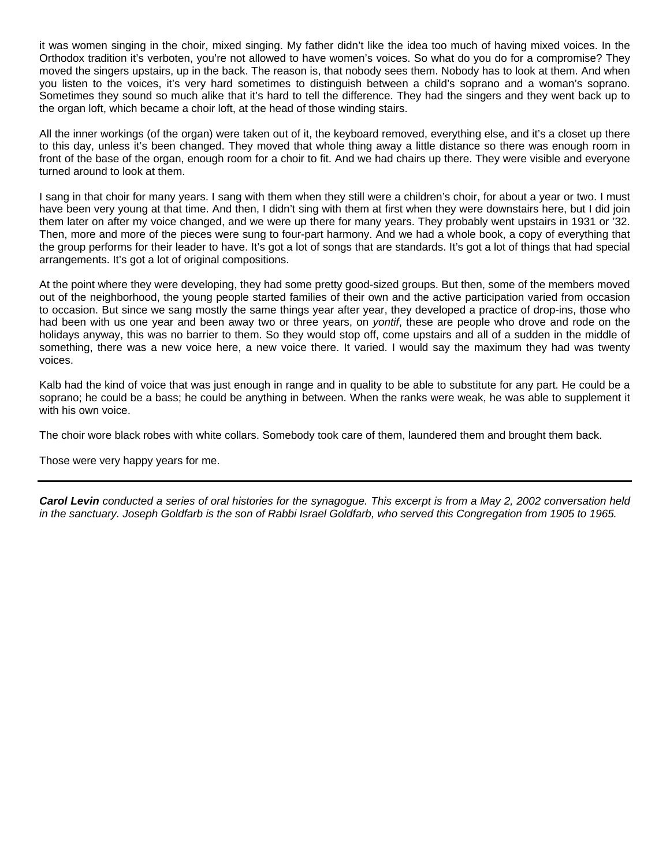it was women singing in the choir, mixed singing. My father didn't like the idea too much of having mixed voices. In the Orthodox tradition it's verboten, you're not allowed to have women's voices. So what do you do for a compromise? They moved the singers upstairs, up in the back. The reason is, that nobody sees them. Nobody has to look at them. And when you listen to the voices, it's very hard sometimes to distinguish between a child's soprano and a woman's soprano. Sometimes they sound so much alike that it's hard to tell the difference. They had the singers and they went back up to the organ loft, which became a choir loft, at the head of those winding stairs.

All the inner workings (of the organ) were taken out of it, the keyboard removed, everything else, and it's a closet up there to this day, unless it's been changed. They moved that whole thing away a little distance so there was enough room in front of the base of the organ, enough room for a choir to fit. And we had chairs up there. They were visible and everyone turned around to look at them.

I sang in that choir for many years. I sang with them when they still were a children's choir, for about a year or two. I must have been very young at that time. And then, I didn't sing with them at first when they were downstairs here, but I did join them later on after my voice changed, and we were up there for many years. They probably went upstairs in 1931 or '32. Then, more and more of the pieces were sung to four-part harmony. And we had a whole book, a copy of everything that the group performs for their leader to have. It's got a lot of songs that are standards. It's got a lot of things that had special arrangements. It's got a lot of original compositions.

At the point where they were developing, they had some pretty good-sized groups. But then, some of the members moved out of the neighborhood, the young people started families of their own and the active participation varied from occasion to occasion. But since we sang mostly the same things year after year, they developed a practice of drop-ins, those who had been with us one year and been away two or three years, on *yontif*, these are people who drove and rode on the holidays anyway, this was no barrier to them. So they would stop off, come upstairs and all of a sudden in the middle of something, there was a new voice here, a new voice there. It varied. I would say the maximum they had was twenty voices.

Kalb had the kind of voice that was just enough in range and in quality to be able to substitute for any part. He could be a soprano; he could be a bass; he could be anything in between. When the ranks were weak, he was able to supplement it with his own voice.

The choir wore black robes with white collars. Somebody took care of them, laundered them and brought them back.

Those were very happy years for me.

*Carol Levin conducted a series of oral histories for the synagogue. This excerpt is from a May 2, 2002 conversation held in the sanctuary. Joseph Goldfarb is the son of Rabbi Israel Goldfarb, who served this Congregation from 1905 to 1965.*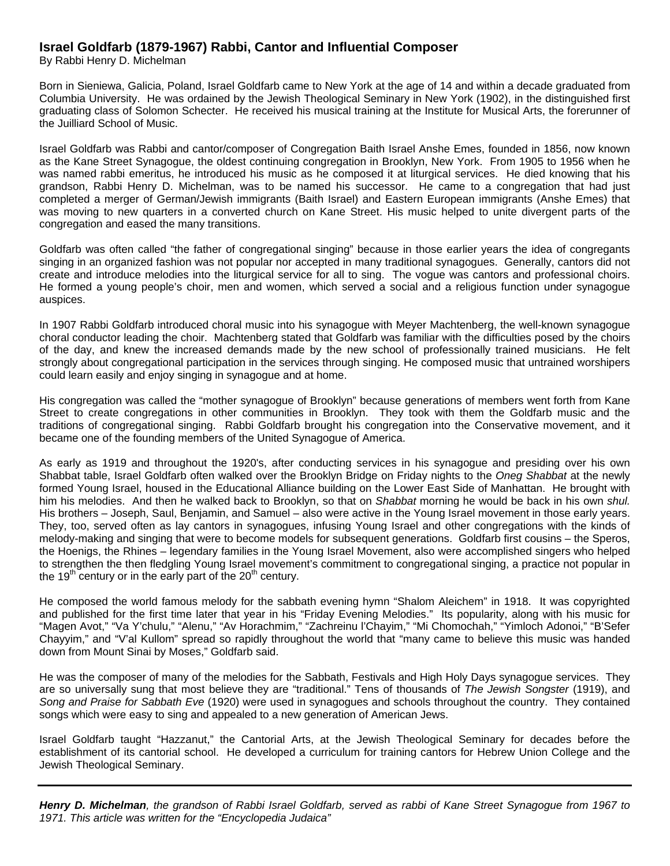# **Israel Goldfarb (1879-1967) Rabbi, Cantor and Influential Composer**

By Rabbi Henry D. Michelman

Born in Sieniewa, Galicia, Poland, Israel Goldfarb came to New York at the age of 14 and within a decade graduated from Columbia University. He was ordained by the Jewish Theological Seminary in New York (1902), in the distinguished first graduating class of Solomon Schecter. He received his musical training at the Institute for Musical Arts, the forerunner of the Juilliard School of Music.

Israel Goldfarb was Rabbi and cantor/composer of Congregation Baith Israel Anshe Emes, founded in 1856, now known as the Kane Street Synagogue, the oldest continuing congregation in Brooklyn, New York. From 1905 to 1956 when he was named rabbi emeritus, he introduced his music as he composed it at liturgical services. He died knowing that his grandson, Rabbi Henry D. Michelman, was to be named his successor. He came to a congregation that had just completed a merger of German/Jewish immigrants (Baith Israel) and Eastern European immigrants (Anshe Emes) that was moving to new quarters in a converted church on Kane Street. His music helped to unite divergent parts of the congregation and eased the many transitions.

Goldfarb was often called "the father of congregational singing" because in those earlier years the idea of congregants singing in an organized fashion was not popular nor accepted in many traditional synagogues. Generally, cantors did not create and introduce melodies into the liturgical service for all to sing. The vogue was cantors and professional choirs. He formed a young people's choir, men and women, which served a social and a religious function under synagogue auspices.

In 1907 Rabbi Goldfarb introduced choral music into his synagogue with Meyer Machtenberg, the well-known synagogue choral conductor leading the choir. Machtenberg stated that Goldfarb was familiar with the difficulties posed by the choirs of the day, and knew the increased demands made by the new school of professionally trained musicians. He felt strongly about congregational participation in the services through singing. He composed music that untrained worshipers could learn easily and enjoy singing in synagogue and at home.

His congregation was called the "mother synagogue of Brooklyn" because generations of members went forth from Kane Street to create congregations in other communities in Brooklyn. They took with them the Goldfarb music and the traditions of congregational singing. Rabbi Goldfarb brought his congregation into the Conservative movement, and it became one of the founding members of the United Synagogue of America.

As early as 1919 and throughout the 1920's, after conducting services in his synagogue and presiding over his own Shabbat table, Israel Goldfarb often walked over the Brooklyn Bridge on Friday nights to the *Oneg Shabbat* at the newly formed Young Israel, housed in the Educational Alliance building on the Lower East Side of Manhattan. He brought with him his melodies. And then he walked back to Brooklyn, so that on *Shabbat* morning he would be back in his own *shul.*  His brothers – Joseph, Saul, Benjamin, and Samuel – also were active in the Young Israel movement in those early years. They, too, served often as lay cantors in synagogues, infusing Young Israel and other congregations with the kinds of melody-making and singing that were to become models for subsequent generations. Goldfarb first cousins – the Speros, the Hoenigs, the Rhines – legendary families in the Young Israel Movement, also were accomplished singers who helped to strengthen the then fledgling Young Israel movement's commitment to congregational singing, a practice not popular in the 19<sup>th</sup> century or in the early part of the 20<sup>th</sup> century.

He composed the world famous melody for the sabbath evening hymn "Shalom Aleichem" in 1918. It was copyrighted and published for the first time later that year in his "Friday Evening Melodies." Its popularity, along with his music for "Magen Avot," "Va Y'chulu," "Alenu," "Av Horachmim," "Zachreinu l'Chayim," "Mi Chomochah," "Yimloch Adonoi," "B'Sefer Chayyim," and "V'al Kullom" spread so rapidly throughout the world that "many came to believe this music was handed down from Mount Sinai by Moses," Goldfarb said.

He was the composer of many of the melodies for the Sabbath, Festivals and High Holy Days synagogue services. They are so universally sung that most believe they are "traditional." Tens of thousands of *The Jewish Songster* (1919), and *Song and Praise for Sabbath Eve* (1920) were used in synagogues and schools throughout the country. They contained songs which were easy to sing and appealed to a new generation of American Jews.

Israel Goldfarb taught "Hazzanut," the Cantorial Arts, at the Jewish Theological Seminary for decades before the establishment of its cantorial school. He developed a curriculum for training cantors for Hebrew Union College and the Jewish Theological Seminary.

*Henry D. Michelman, the grandson of Rabbi Israel Goldfarb, served as rabbi of Kane Street Synagogue from 1967 to 1971. This article was written for the "Encyclopedia Judaica"*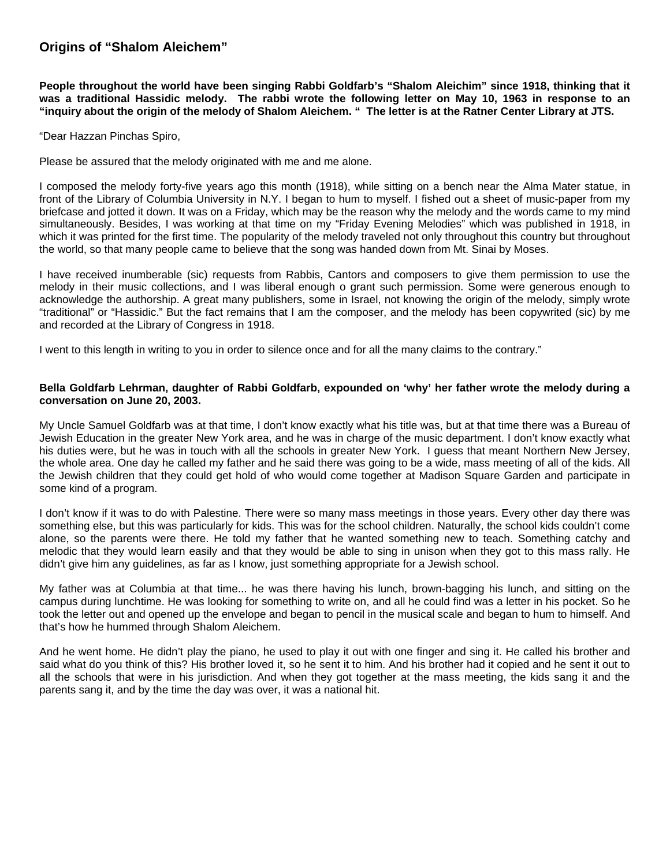# **Origins of "Shalom Aleichem"**

**People throughout the world have been singing Rabbi Goldfarb's "Shalom Aleichim" since 1918, thinking that it was a traditional Hassidic melody. The rabbi wrote the following letter on May 10, 1963 in response to an "inquiry about the origin of the melody of Shalom Aleichem. " The letter is at the Ratner Center Library at JTS.** 

"Dear Hazzan Pinchas Spiro,

Please be assured that the melody originated with me and me alone.

I composed the melody forty-five years ago this month (1918), while sitting on a bench near the Alma Mater statue, in front of the Library of Columbia University in N.Y. I began to hum to myself. I fished out a sheet of music-paper from my briefcase and jotted it down. It was on a Friday, which may be the reason why the melody and the words came to my mind simultaneously. Besides, I was working at that time on my "Friday Evening Melodies" which was published in 1918, in which it was printed for the first time. The popularity of the melody traveled not only throughout this country but throughout the world, so that many people came to believe that the song was handed down from Mt. Sinai by Moses.

I have received inumberable (sic) requests from Rabbis, Cantors and composers to give them permission to use the melody in their music collections, and I was liberal enough o grant such permission. Some were generous enough to acknowledge the authorship. A great many publishers, some in Israel, not knowing the origin of the melody, simply wrote "traditional" or "Hassidic." But the fact remains that I am the composer, and the melody has been copywrited (sic) by me and recorded at the Library of Congress in 1918.

I went to this length in writing to you in order to silence once and for all the many claims to the contrary."

#### **Bella Goldfarb Lehrman, daughter of Rabbi Goldfarb, expounded on 'why' her father wrote the melody during a conversation on June 20, 2003.**

My Uncle Samuel Goldfarb was at that time, I don't know exactly what his title was, but at that time there was a Bureau of Jewish Education in the greater New York area, and he was in charge of the music department. I don't know exactly what his duties were, but he was in touch with all the schools in greater New York. I guess that meant Northern New Jersey, the whole area. One day he called my father and he said there was going to be a wide, mass meeting of all of the kids. All the Jewish children that they could get hold of who would come together at Madison Square Garden and participate in some kind of a program.

I don't know if it was to do with Palestine. There were so many mass meetings in those years. Every other day there was something else, but this was particularly for kids. This was for the school children. Naturally, the school kids couldn't come alone, so the parents were there. He told my father that he wanted something new to teach. Something catchy and melodic that they would learn easily and that they would be able to sing in unison when they got to this mass rally. He didn't give him any guidelines, as far as I know, just something appropriate for a Jewish school.

My father was at Columbia at that time... he was there having his lunch, brown-bagging his lunch, and sitting on the campus during lunchtime. He was looking for something to write on, and all he could find was a letter in his pocket. So he took the letter out and opened up the envelope and began to pencil in the musical scale and began to hum to himself. And that's how he hummed through Shalom Aleichem.

And he went home. He didn't play the piano, he used to play it out with one finger and sing it. He called his brother and said what do you think of this? His brother loved it, so he sent it to him. And his brother had it copied and he sent it out to all the schools that were in his jurisdiction. And when they got together at the mass meeting, the kids sang it and the parents sang it, and by the time the day was over, it was a national hit.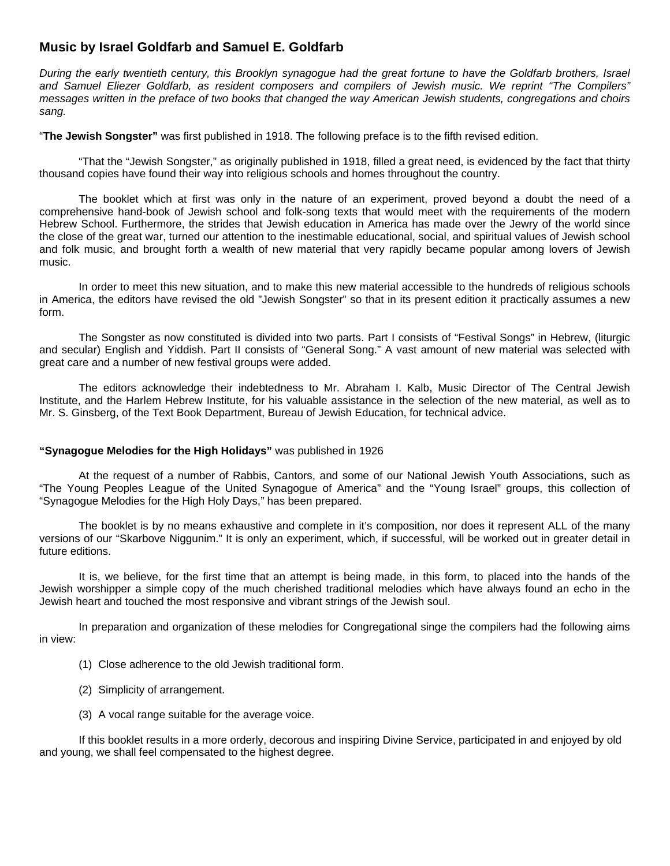# **Music by Israel Goldfarb and Samuel E. Goldfarb**

*During the early twentieth century, this Brooklyn synagogue had the great fortune to have the Goldfarb brothers, Israel and Samuel Eliezer Goldfarb, as resident composers and compilers of Jewish music. We reprint "The Compilers" messages written in the preface of two books that changed the way American Jewish students, congregations and choirs sang.* 

"**The Jewish Songster"** was first published in 1918. The following preface is to the fifth revised edition.

 "That the "Jewish Songster," as originally published in 1918, filled a great need, is evidenced by the fact that thirty thousand copies have found their way into religious schools and homes throughout the country.

 The booklet which at first was only in the nature of an experiment, proved beyond a doubt the need of a comprehensive hand-book of Jewish school and folk-song texts that would meet with the requirements of the modern Hebrew School. Furthermore, the strides that Jewish education in America has made over the Jewry of the world since the close of the great war, turned our attention to the inestimable educational, social, and spiritual values of Jewish school and folk music, and brought forth a wealth of new material that very rapidly became popular among lovers of Jewish music.

 In order to meet this new situation, and to make this new material accessible to the hundreds of religious schools in America, the editors have revised the old "Jewish Songster" so that in its present edition it practically assumes a new form.

 The Songster as now constituted is divided into two parts. Part I consists of "Festival Songs" in Hebrew, (liturgic and secular) English and Yiddish. Part II consists of "General Song." A vast amount of new material was selected with great care and a number of new festival groups were added.

 The editors acknowledge their indebtedness to Mr. Abraham I. Kalb, Music Director of The Central Jewish Institute, and the Harlem Hebrew Institute, for his valuable assistance in the selection of the new material, as well as to Mr. S. Ginsberg, of the Text Book Department, Bureau of Jewish Education, for technical advice.

#### **"Synagogue Melodies for the High Holidays"** was published in 1926

 At the request of a number of Rabbis, Cantors, and some of our National Jewish Youth Associations, such as "The Young Peoples League of the United Synagogue of America" and the "Young Israel" groups, this collection of "Synagogue Melodies for the High Holy Days," has been prepared.

 The booklet is by no means exhaustive and complete in it's composition, nor does it represent ALL of the many versions of our "Skarbove Niggunim." It is only an experiment, which, if successful, will be worked out in greater detail in future editions.

 It is, we believe, for the first time that an attempt is being made, in this form, to placed into the hands of the Jewish worshipper a simple copy of the much cherished traditional melodies which have always found an echo in the Jewish heart and touched the most responsive and vibrant strings of the Jewish soul.

 In preparation and organization of these melodies for Congregational singe the compilers had the following aims in view:

- (1) Close adherence to the old Jewish traditional form.
- (2) Simplicity of arrangement.
- (3) A vocal range suitable for the average voice.

If this booklet results in a more orderly, decorous and inspiring Divine Service, participated in and enjoyed by old and young, we shall feel compensated to the highest degree.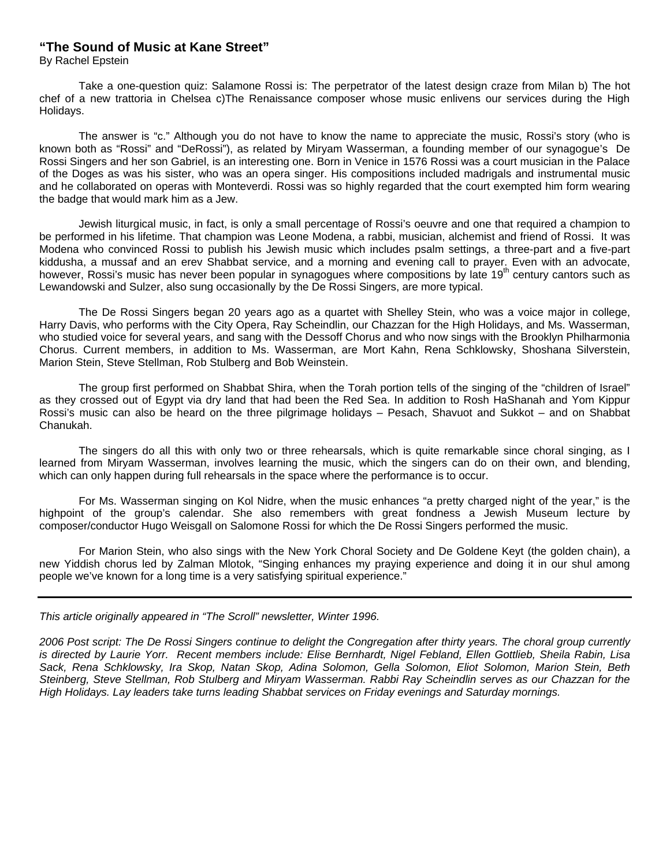# **"The Sound of Music at Kane Street"**

By Rachel Epstein

 Take a one-question quiz: Salamone Rossi is: The perpetrator of the latest design craze from Milan b) The hot chef of a new trattoria in Chelsea c)The Renaissance composer whose music enlivens our services during the High Holidays.

 The answer is "c." Although you do not have to know the name to appreciate the music, Rossi's story (who is known both as "Rossi" and "DeRossi"), as related by Miryam Wasserman, a founding member of our synagogue's De Rossi Singers and her son Gabriel, is an interesting one. Born in Venice in 1576 Rossi was a court musician in the Palace of the Doges as was his sister, who was an opera singer. His compositions included madrigals and instrumental music and he collaborated on operas with Monteverdi. Rossi was so highly regarded that the court exempted him form wearing the badge that would mark him as a Jew.

 Jewish liturgical music, in fact, is only a small percentage of Rossi's oeuvre and one that required a champion to be performed in his lifetime. That champion was Leone Modena, a rabbi, musician, alchemist and friend of Rossi. It was Modena who convinced Rossi to publish his Jewish music which includes psalm settings, a three-part and a five-part kiddusha, a mussaf and an erev Shabbat service, and a morning and evening call to prayer. Even with an advocate, however, Rossi's music has never been popular in synagogues where compositions by late  $19<sup>th</sup>$  century cantors such as Lewandowski and Sulzer, also sung occasionally by the De Rossi Singers, are more typical.

 The De Rossi Singers began 20 years ago as a quartet with Shelley Stein, who was a voice major in college, Harry Davis, who performs with the City Opera, Ray Scheindlin, our Chazzan for the High Holidays, and Ms. Wasserman, who studied voice for several years, and sang with the Dessoff Chorus and who now sings with the Brooklyn Philharmonia Chorus. Current members, in addition to Ms. Wasserman, are Mort Kahn, Rena Schklowsky, Shoshana Silverstein, Marion Stein, Steve Stellman, Rob Stulberg and Bob Weinstein.

 The group first performed on Shabbat Shira, when the Torah portion tells of the singing of the "children of Israel" as they crossed out of Egypt via dry land that had been the Red Sea. In addition to Rosh HaShanah and Yom Kippur Rossi's music can also be heard on the three pilgrimage holidays – Pesach, Shavuot and Sukkot – and on Shabbat Chanukah.

 The singers do all this with only two or three rehearsals, which is quite remarkable since choral singing, as I learned from Miryam Wasserman, involves learning the music, which the singers can do on their own, and blending, which can only happen during full rehearsals in the space where the performance is to occur.

 For Ms. Wasserman singing on Kol Nidre, when the music enhances "a pretty charged night of the year," is the highpoint of the group's calendar. She also remembers with great fondness a Jewish Museum lecture by composer/conductor Hugo Weisgall on Salomone Rossi for which the De Rossi Singers performed the music.

 For Marion Stein, who also sings with the New York Choral Society and De Goldene Keyt (the golden chain), a new Yiddish chorus led by Zalman Mlotok, "Singing enhances my praying experience and doing it in our shul among people we've known for a long time is a very satisfying spiritual experience."

*This article originally appeared in "The Scroll" newsletter, Winter 1996.* 

*2006 Post script: The De Rossi Singers continue to delight the Congregation after thirty years. The choral group currently is directed by Laurie Yorr. Recent members include: Elise Bernhardt, Nigel Febland, Ellen Gottlieb, Sheila Rabin, Lisa Sack, Rena Schklowsky, Ira Skop, Natan Skop, Adina Solomon, Gella Solomon, Eliot Solomon, Marion Stein, Beth Steinberg, Steve Stellman, Rob Stulberg and Miryam Wasserman. Rabbi Ray Scheindlin serves as our Chazzan for the High Holidays. Lay leaders take turns leading Shabbat services on Friday evenings and Saturday mornings.*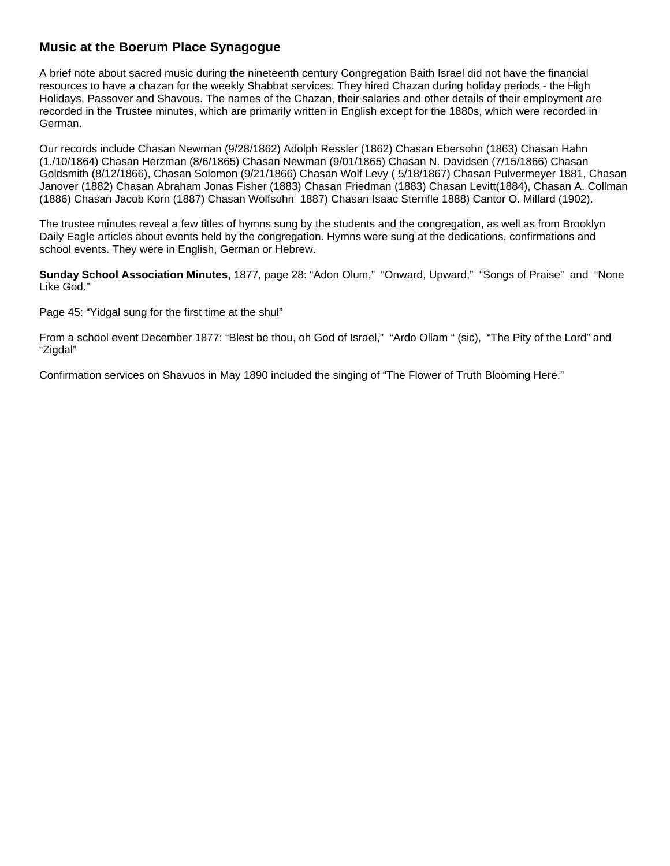# **Music at the Boerum Place Synagogue**

A brief note about sacred music during the nineteenth century Congregation Baith Israel did not have the financial resources to have a chazan for the weekly Shabbat services. They hired Chazan during holiday periods - the High Holidays, Passover and Shavous. The names of the Chazan, their salaries and other details of their employment are recorded in the Trustee minutes, which are primarily written in English except for the 1880s, which were recorded in German.

Our records include Chasan Newman (9/28/1862) Adolph Ressler (1862) Chasan Ebersohn (1863) Chasan Hahn (1./10/1864) Chasan Herzman (8/6/1865) Chasan Newman (9/01/1865) Chasan N. Davidsen (7/15/1866) Chasan Goldsmith (8/12/1866), Chasan Solomon (9/21/1866) Chasan Wolf Levy ( 5/18/1867) Chasan Pulvermeyer 1881, Chasan Janover (1882) Chasan Abraham Jonas Fisher (1883) Chasan Friedman (1883) Chasan Levitt(1884), Chasan A. Collman (1886) Chasan Jacob Korn (1887) Chasan Wolfsohn 1887) Chasan Isaac Sternfle 1888) Cantor O. Millard (1902).

The trustee minutes reveal a few titles of hymns sung by the students and the congregation, as well as from Brooklyn Daily Eagle articles about events held by the congregation. Hymns were sung at the dedications, confirmations and school events. They were in English, German or Hebrew.

**Sunday School Association Minutes,** 1877, page 28: "Adon Olum," "Onward, Upward," "Songs of Praise" and "None Like God."

Page 45: "Yidgal sung for the first time at the shul"

From a school event December 1877: "Blest be thou, oh God of Israel," "Ardo Ollam " (sic), "The Pity of the Lord" and "Zigdal"

Confirmation services on Shavuos in May 1890 included the singing of "The Flower of Truth Blooming Here."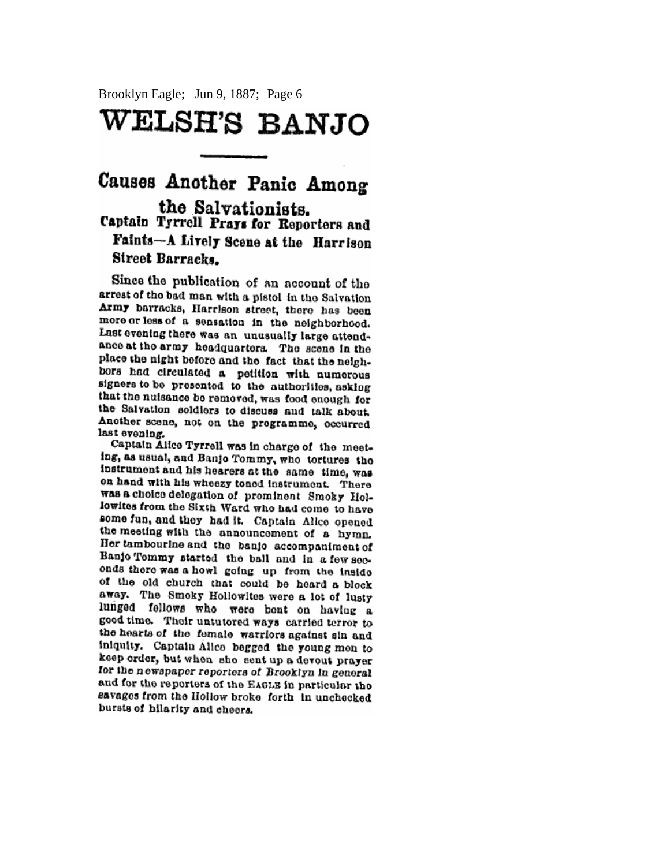Brooklyn Eagle; Jun 9, 1887; Page 6

# WELSH'S BANJO

# Causes Another Panic Among the Salvationists. Captain Tyrrell Prays for Reporters and Faints-A Lively Scene at the Harrison Street Barracks.

Since the publication of an account of the arrest of the bad man with a pistol in the Salvation Army barracks, Harrison street, there has been more or less of a sensation in the neighborhood. Lust evening there was an unusually large attendance at the army headquarters. The scene in the place the night before and the fact that the neighbors had circulated a petition with numerous signers to be presented to the authorities, asking that the nuisance be removed, was food enough for the Salvation soldiers to discuss and talk about. Another scene, not on the programme, occurred last evening.

Captain Alice Tyrrell was in charge of the meeting, as usual, and Banio Tommy, who tortures the instrument and his hearers at the same time, was on hand with his wheezy toned instrument. There was a choice delegation of prominent Smoky Hollowites from the Sixth Ward who had come to have some fun, and they had it. Captain Alice opened the meeting with the announcement of a hymn. Her tambourine and the banic accompaniment of Banjo Tommy started the ball and in a few seconds there was a howl going up from the inside of the old church that could be heard a block away. The Smoky Hollowites were a lot of lusty lunged fellows who were bent on having a good time. Their untutered ways carried terror to the hearts of the female warriors against sin and iniquity. Captain Alice begged the young men to keep order, but when she sent up a devout prayer for the newspaper reporters of Brooklyn in general and for the reporters of the EAGLE in particular the savages from the Hollow broke forth in unchecked bursts of hilarity and cheers.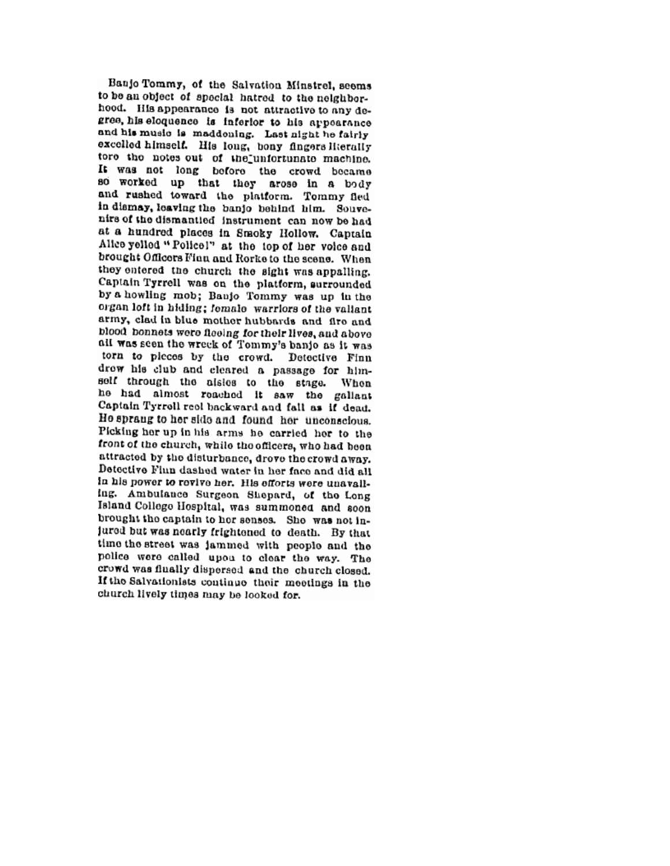Banjo Tommy, of the Salvation Minstrel, seems to be an object of special hatred to the neighborhood. His appearance is not attractive to any degree, his eloquence is inferior to his appearance and his music is maddoning. Last night he fairly excelled himself. His long, bony fingers Hierally tore the notes out of the unfortunate machine. It was not long before the crowd became so worked up that they arose in a body and rushed toward the platform. Tommy fled in dismay, leaving the banjo behind him. Souvenirs of the dismantied instrument can now be had at a hundred places in Smoky Hollow. Captain Alice yelled "Policel" at the top of her voice and brought Officers Finn and Rorke to the scene. When they entered the church the sight was appalling. Captain Tyrrell was on the platform, surrounded by a howling mob; Banio Tommy was up in the organ loft in hiding; female warriors of the valiant army, clad in blue mother hubbards and fire and blood bonnets were fleeing for their lives, and above all was seen the wreck of Tommy's banjo as it was torn to picces by the crowd. Detective Finn drow his club and cleared a passage for himself through the alsies to the stage. When he had almost reached it saw the gallant Captain Tyrrell reel backward and fall as if dead. Ho sprang to her side and found her unconscious. Picking her up in his arms he carried her to the front of the church, while the officers, who had been attracted by the disturbance, drove the crowd away. Detective Flun dashed water in her face and did all in his power to revive her. His efforts were unavailing. Ambulance Surgeon Shepard, of the Long Island College Hospital, was summoned and soon brought the captain to her senses. She was not injured but was nearly frightened to death. By that time the street was jammed with people and the police were called upon to clear the way. The crowd was flually dispersed and the church closed. If the Salvationists continue their meetings in the church lively times may be looked for.